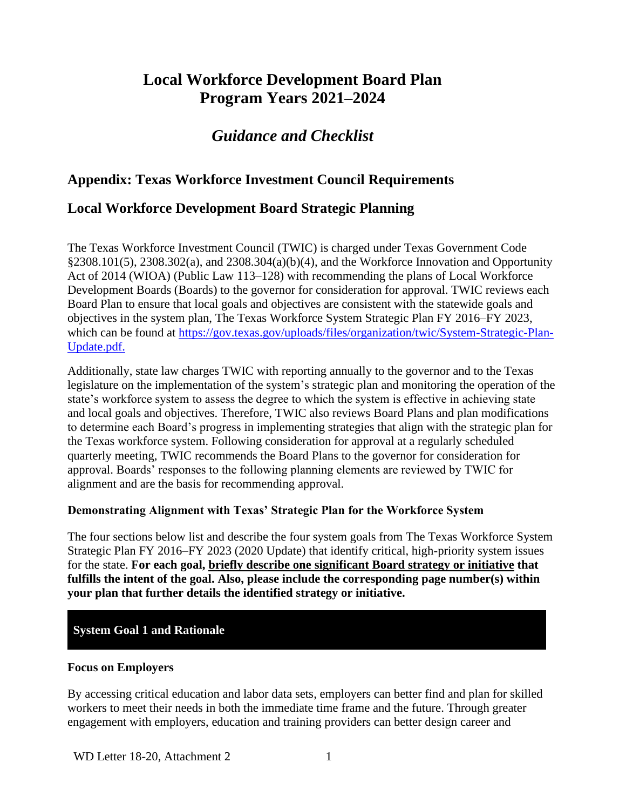# **Local Workforce Development Board Plan Program Years 2021–2024**

# *Guidance and Checklist*

# **Appendix: Texas Workforce Investment Council Requirements**

# **Local Workforce Development Board Strategic Planning**

The Texas Workforce Investment Council (TWIC) is charged under Texas Government Code §2308.101(5), 2308.302(a), and 2308.304(a)(b)(4), and the Workforce Innovation and Opportunity Act of 2014 (WIOA) (Public Law 113–128) with recommending the plans of Local Workforce Development Boards (Boards) to the governor for consideration for approval. TWIC reviews each Board Plan to ensure that local goals and objectives are consistent with the statewide goals and objectives in the system plan, The Texas Workforce System Strategic Plan FY 2016–FY 2023, which can be found at [https://gov.texas.gov/uploads/files/organization/twic/System-Strategic-Plan-](https://gov.texas.gov/uploads/files/organization/twic/System-Strategic-Plan-Update.pdf)[Update.pdf.](https://gov.texas.gov/uploads/files/organization/twic/System-Strategic-Plan-Update.pdf)

Additionally, state law charges TWIC with reporting annually to the governor and to the Texas legislature on the implementation of the system's strategic plan and monitoring the operation of the state's workforce system to assess the degree to which the system is effective in achieving state and local goals and objectives. Therefore, TWIC also reviews Board Plans and plan modifications to determine each Board's progress in implementing strategies that align with the strategic plan for the Texas workforce system. Following consideration for approval at a regularly scheduled quarterly meeting, TWIC recommends the Board Plans to the governor for consideration for approval. Boards' responses to the following planning elements are reviewed by TWIC for alignment and are the basis for recommending approval.

#### **Demonstrating Alignment with Texas' Strategic Plan for the Workforce System**

The four sections below list and describe the four system goals from The Texas Workforce System Strategic Plan FY 2016–FY 2023 (2020 Update) that identify critical, high-priority system issues for the state. **For each goal, briefly describe one significant Board strategy or initiative that fulfills the intent of the goal. Also, please include the corresponding page number(s) within your plan that further details the identified strategy or initiative.**

## **System Goal 1 and Rationale**

#### **Focus on Employers**

By accessing critical education and labor data sets, employers can better find and plan for skilled workers to meet their needs in both the immediate time frame and the future. Through greater engagement with employers, education and training providers can better design career and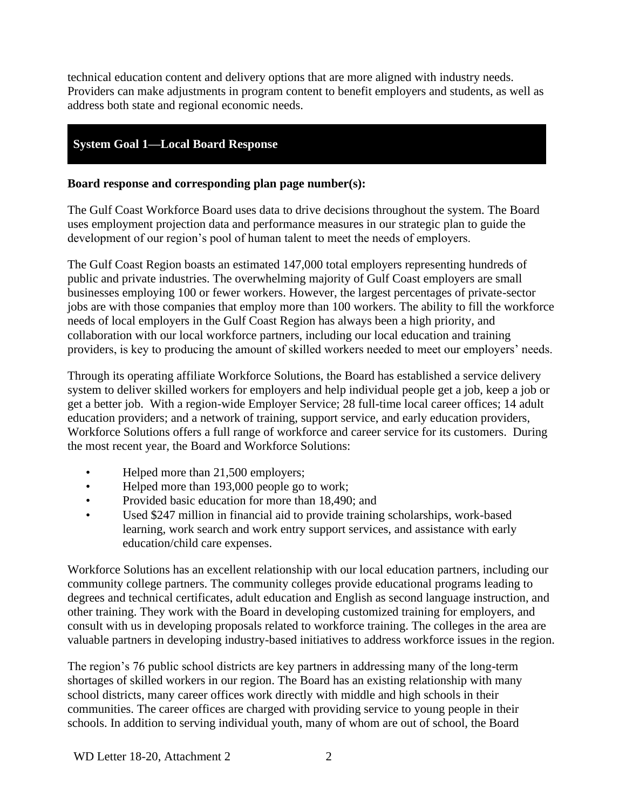technical education content and delivery options that are more aligned with industry needs. Providers can make adjustments in program content to benefit employers and students, as well as address both state and regional economic needs.

# **System Goal 1—Local Board Response**

### **Board response and corresponding plan page number(s): 1 –**

The Gulf Coast Workforce Board uses data to drive decisions throughout the system. The Board uses employment projection data and performance measures in our strategic plan to guide the development of our region's pool of human talent to meet the needs of employers.

The Gulf Coast Region boasts an estimated 147,000 total employers representing hundreds of public and private industries. The overwhelming majority of Gulf Coast employers are small businesses employing 100 or fewer workers. However, the largest percentages of private-sector jobs are with those companies that employ more than 100 workers. The ability to fill the workforce needs of local employers in the Gulf Coast Region has always been a high priority, and collaboration with our local workforce partners, including our local education and training providers, is key to producing the amount of skilled workers needed to meet our employers' needs.

Through its operating affiliate Workforce Solutions, the Board has established a service delivery system to deliver skilled workers for employers and help individual people get a job, keep a job or get a better job. With a region-wide Employer Service; 28 full-time local career offices; 14 adult education providers; and a network of training, support service, and early education providers, Workforce Solutions offers a full range of workforce and career service for its customers. During the most recent year, the Board and Workforce Solutions:

- Helped more than 21,500 employers;
- Helped more than 193,000 people go to work;
- Provided basic education for more than 18,490; and
- Used \$247 million in financial aid to provide training scholarships, work-based learning, work search and work entry support services, and assistance with early education/child care expenses.

Workforce Solutions has an excellent relationship with our local education partners, including our community college partners. The community colleges provide educational programs leading to degrees and technical certificates, adult education and English as second language instruction, and other training. They work with the Board in developing customized training for employers, and consult with us in developing proposals related to workforce training. The colleges in the area are valuable partners in developing industry-based initiatives to address workforce issues in the region.

The region's 76 public school districts are key partners in addressing many of the long-term shortages of skilled workers in our region. The Board has an existing relationship with many school districts, many career offices work directly with middle and high schools in their communities. The career offices are charged with providing service to young people in their schools. In addition to serving individual youth, many of whom are out of school, the Board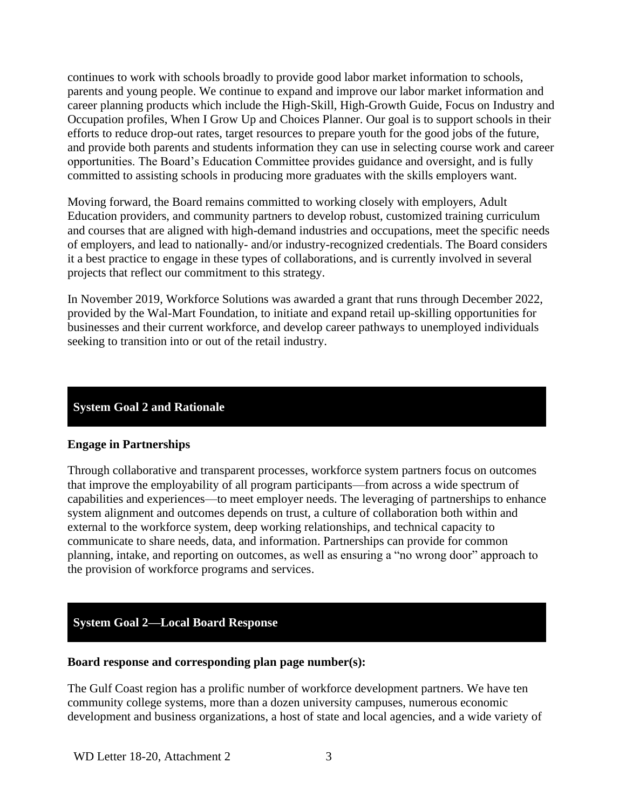continues to work with schools broadly to provide good labor market information to schools, parents and young people. We continue to expand and improve our labor market information and career planning products which include the High-Skill, High-Growth Guide, Focus on Industry and Occupation profiles, When I Grow Up and Choices Planner. Our goal is to support schools in their efforts to reduce drop-out rates, target resources to prepare youth for the good jobs of the future, and provide both parents and students information they can use in selecting course work and career opportunities. The Board's Education Committee provides guidance and oversight, and is fully committed to assisting schools in producing more graduates with the skills employers want.

Moving forward, the Board remains committed to working closely with employers, Adult Education providers, and community partners to develop robust, customized training curriculum and courses that are aligned with high-demand industries and occupations, meet the specific needs of employers, and lead to nationally- and/or industry-recognized credentials. The Board considers it a best practice to engage in these types of collaborations, and is currently involved in several projects that reflect our commitment to this strategy.

In November 2019, Workforce Solutions was awarded a grant that runs through December 2022, provided by the Wal-Mart Foundation, to initiate and expand retail up-skilling opportunities for businesses and their current workforce, and develop career pathways to unemployed individuals seeking to transition into or out of the retail industry.

#### **System Goal 2 and Rationale**

#### **Engage in Partnerships**

Through collaborative and transparent processes, workforce system partners focus on outcomes that improve the employability of all program participants—from across a wide spectrum of capabilities and experiences—to meet employer needs. The leveraging of partnerships to enhance system alignment and outcomes depends on trust, a culture of collaboration both within and external to the workforce system, deep working relationships, and technical capacity to communicate to share needs, data, and information. Partnerships can provide for common planning, intake, and reporting on outcomes, as well as ensuring a "no wrong door" approach to the provision of workforce programs and services.

## **System Goal 2—Local Board Response**

#### **Board response and corresponding plan page number(s):**

The Gulf Coast region has a prolific number of workforce development partners. We have ten community college systems, more than a dozen university campuses, numerous economic development and business organizations, a host of state and local agencies, and a wide variety of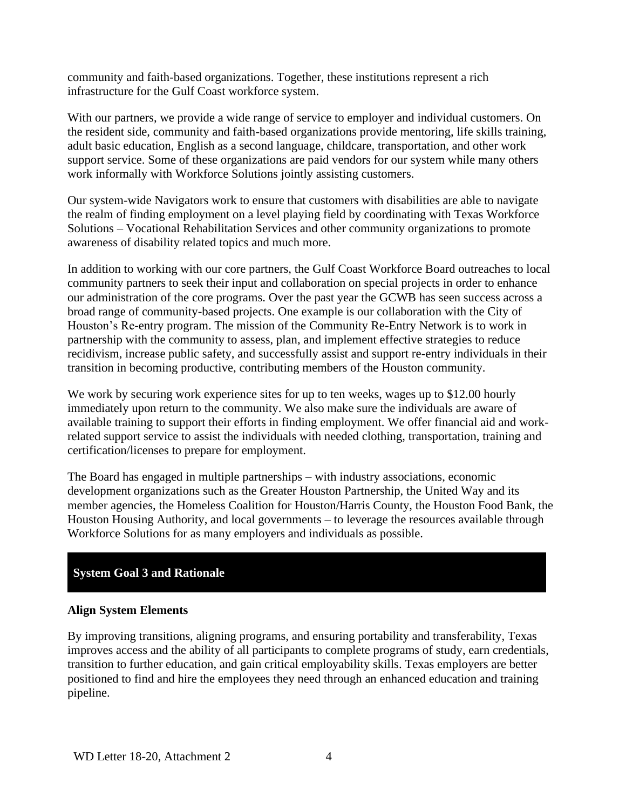community and faith-based organizations. Together, these institutions represent a rich infrastructure for the Gulf Coast workforce system.

With our partners, we provide a wide range of service to employer and individual customers. On the resident side, community and faith-based organizations provide mentoring, life skills training, adult basic education, English as a second language, childcare, transportation, and other work support service. Some of these organizations are paid vendors for our system while many others work informally with Workforce Solutions jointly assisting customers.

Our system-wide Navigators work to ensure that customers with disabilities are able to navigate the realm of finding employment on a level playing field by coordinating with Texas Workforce Solutions – Vocational Rehabilitation Services and other community organizations to promote awareness of disability related topics and much more.

In addition to working with our core partners, the Gulf Coast Workforce Board outreaches to local community partners to seek their input and collaboration on special projects in order to enhance our administration of the core programs. Over the past year the GCWB has seen success across a broad range of community-based projects. One example is our collaboration with the City of Houston's Re-entry program. The mission of the Community Re-Entry Network is to work in partnership with the community to assess, plan, and implement effective strategies to reduce recidivism, increase public safety, and successfully assist and support re-entry individuals in their transition in becoming productive, contributing members of the Houston community.

We work by securing work experience sites for up to ten weeks, wages up to \$12.00 hourly immediately upon return to the community. We also make sure the individuals are aware of available training to support their efforts in finding employment. We offer financial aid and workrelated support service to assist the individuals with needed clothing, transportation, training and certification/licenses to prepare for employment.

The Board has engaged in multiple partnerships – with industry associations, economic development organizations such as the Greater Houston Partnership, the United Way and its member agencies, the Homeless Coalition for Houston/Harris County, the Houston Food Bank, the Houston Housing Authority, and local governments – to leverage the resources available through Workforce Solutions for as many employers and individuals as possible.

# **System Goal 3 and Rationale**

## **Align System Elements**

By improving transitions, aligning programs, and ensuring portability and transferability, Texas improves access and the ability of all participants to complete programs of study, earn credentials, transition to further education, and gain critical employability skills. Texas employers are better positioned to find and hire the employees they need through an enhanced education and training pipeline.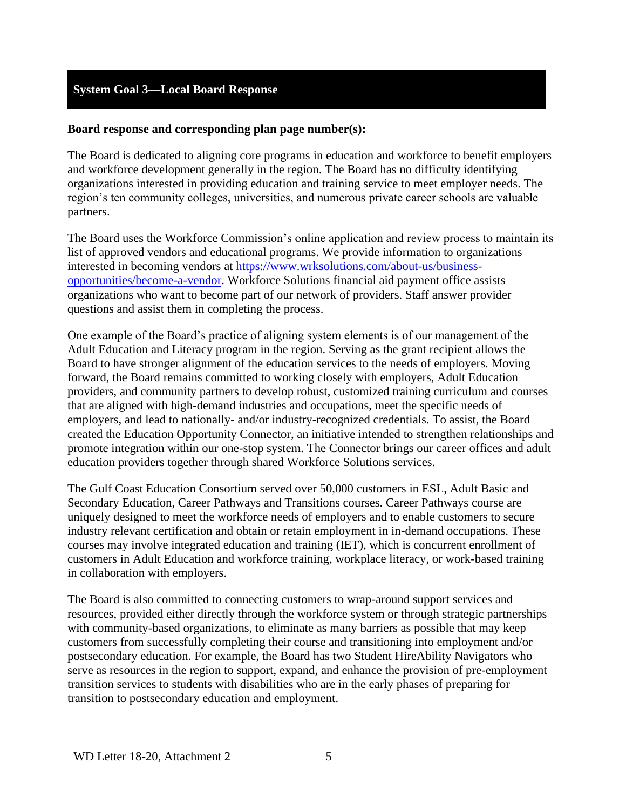## **System Goal 3—Local Board Response**

#### **Board response and corresponding plan page number(s):**

The Board is dedicated to aligning core programs in education and workforce to benefit employers and workforce development generally in the region. The Board has no difficulty identifying organizations interested in providing education and training service to meet employer needs. The region's ten community colleges, universities, and numerous private career schools are valuable partners.

The Board uses the Workforce Commission's online application and review process to maintain its list of approved vendors and educational programs. We provide information to organizations interested in becoming vendors at [https://www.wrksolutions.com/about-us/business](https://www.wrksolutions.com/about-us/business-opportunities/become-a-vendor)[opportunities/become-a-vendor.](https://www.wrksolutions.com/about-us/business-opportunities/become-a-vendor) Workforce Solutions financial aid payment office assists organizations who want to become part of our network of providers. Staff answer provider questions and assist them in completing the process.

One example of the Board's practice of aligning system elements is of our management of the Adult Education and Literacy program in the region. Serving as the grant recipient allows the Board to have stronger alignment of the education services to the needs of employers. Moving forward, the Board remains committed to working closely with employers, Adult Education providers, and community partners to develop robust, customized training curriculum and courses that are aligned with high-demand industries and occupations, meet the specific needs of employers, and lead to nationally- and/or industry-recognized credentials. To assist, the Board created the Education Opportunity Connector, an initiative intended to strengthen relationships and promote integration within our one-stop system. The Connector brings our career offices and adult education providers together through shared Workforce Solutions services.

The Gulf Coast Education Consortium served over 50,000 customers in ESL, Adult Basic and Secondary Education, Career Pathways and Transitions courses. Career Pathways course are uniquely designed to meet the workforce needs of employers and to enable customers to secure industry relevant certification and obtain or retain employment in in-demand occupations. These courses may involve integrated education and training (IET), which is concurrent enrollment of customers in Adult Education and workforce training, workplace literacy, or work-based training in collaboration with employers.

The Board is also committed to connecting customers to wrap-around support services and resources, provided either directly through the workforce system or through strategic partnerships with community-based organizations, to eliminate as many barriers as possible that may keep customers from successfully completing their course and transitioning into employment and/or postsecondary education. For example, the Board has two Student HireAbility Navigators who serve as resources in the region to support, expand, and enhance the provision of pre-employment transition services to students with disabilities who are in the early phases of preparing for transition to postsecondary education and employment.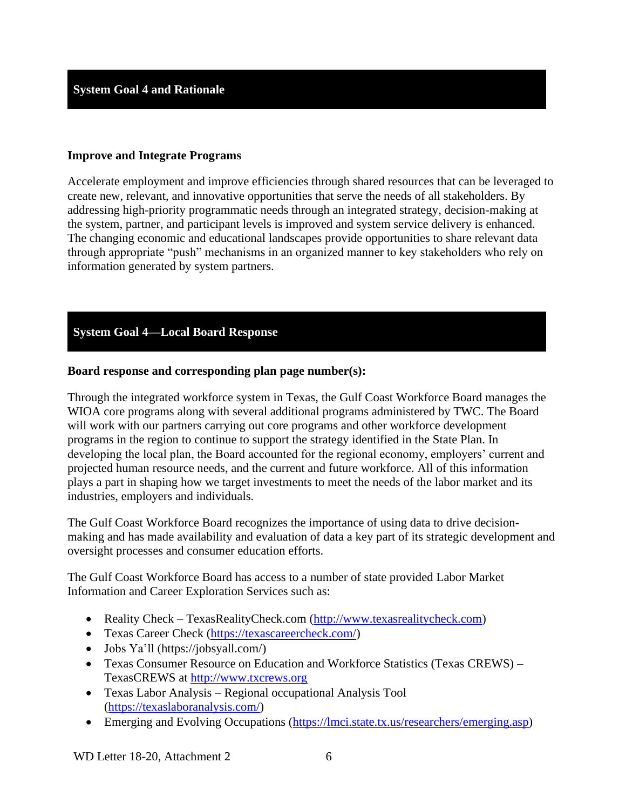### **Improve and Integrate Programs**

Accelerate employment and improve efficiencies through shared resources that can be leveraged to create new, relevant, and innovative opportunities that serve the needs of all stakeholders. By addressing high-priority programmatic needs through an integrated strategy, decision-making at the system, partner, and participant levels is improved and system service delivery is enhanced. The changing economic and educational landscapes provide opportunities to share relevant data through appropriate "push" mechanisms in an organized manner to key stakeholders who rely on information generated by system partners.

# **System Goal 4—Local Board Response**

#### **Board response and corresponding plan page number(s):**

Through the integrated workforce system in Texas, the Gulf Coast Workforce Board manages the WIOA core programs along with several additional programs administered by TWC. The Board will work with our partners carrying out core programs and other workforce development programs in the region to continue to support the strategy identified in the State Plan. In developing the local plan, the Board accounted for the regional economy, employers' current and projected human resource needs, and the current and future workforce. All of this information plays a part in shaping how we target investments to meet the needs of the labor market and its industries, employers and individuals.

The Gulf Coast Workforce Board recognizes the importance of using data to drive decisionmaking and has made availability and evaluation of data a key part of its strategic development and oversight processes and consumer education efforts.

The Gulf Coast Workforce Board has access to a number of state provided Labor Market Information and Career Exploration Services such as:

- Reality Check TexasRealityCheck.com [\(http://www.texasrealitycheck.com\)](http://www.texasrealitycheck.com/)
- Texas Career Check [\(https://texascareercheck.com/\)](https://texascareercheck.com/)
- Jobs Ya'll (https://jobsyall.com/)
- Texas Consumer Resource on Education and Workforce Statistics (Texas CREWS) TexasCREWS at [http://www.txcrews.org](http://www.txcrews.org/)
- Texas Labor Analysis Regional occupational Analysis Tool [\(https://texaslaboranalysis.com/\)](https://texaslaboranalysis.com/)
- Emerging and Evolving Occupations [\(https://lmci.state.tx.us/researchers/emerging.asp\)](https://lmci.state.tx.us/researchers/emerging.asp)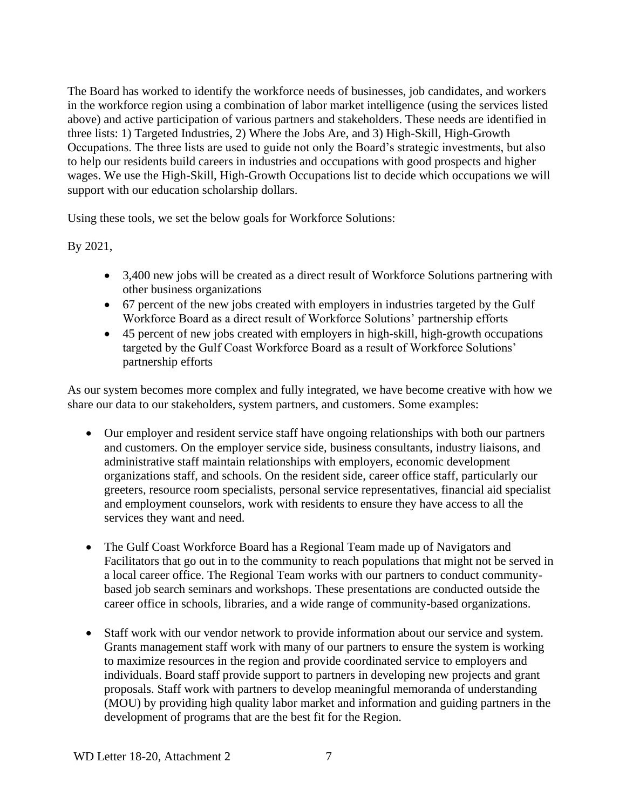The Board has worked to identify the workforce needs of businesses, job candidates, and workers in the workforce region using a combination of labor market intelligence (using the services listed above) and active participation of various partners and stakeholders. These needs are identified in three lists: 1) Targeted Industries, 2) Where the Jobs Are, and 3) High-Skill, High-Growth Occupations. The three lists are used to guide not only the Board's strategic investments, but also to help our residents build careers in industries and occupations with good prospects and higher wages. We use the High-Skill, High-Growth Occupations list to decide which occupations we will support with our education scholarship dollars.

Using these tools, we set the below goals for Workforce Solutions:

By 2021,

- 3,400 new jobs will be created as a direct result of Workforce Solutions partnering with other business organizations
- 67 percent of the new jobs created with employers in industries targeted by the Gulf Workforce Board as a direct result of Workforce Solutions' partnership efforts
- 45 percent of new jobs created with employers in high-skill, high-growth occupations targeted by the Gulf Coast Workforce Board as a result of Workforce Solutions' partnership efforts

As our system becomes more complex and fully integrated, we have become creative with how we share our data to our stakeholders, system partners, and customers. Some examples:

- Our employer and resident service staff have ongoing relationships with both our partners and customers. On the employer service side, business consultants, industry liaisons, and administrative staff maintain relationships with employers, economic development organizations staff, and schools. On the resident side, career office staff, particularly our greeters, resource room specialists, personal service representatives, financial aid specialist and employment counselors, work with residents to ensure they have access to all the services they want and need.
- The Gulf Coast Workforce Board has a Regional Team made up of Navigators and Facilitators that go out in to the community to reach populations that might not be served in a local career office. The Regional Team works with our partners to conduct communitybased job search seminars and workshops. These presentations are conducted outside the career office in schools, libraries, and a wide range of community-based organizations.
- Staff work with our vendor network to provide information about our service and system. Grants management staff work with many of our partners to ensure the system is working to maximize resources in the region and provide coordinated service to employers and individuals. Board staff provide support to partners in developing new projects and grant proposals. Staff work with partners to develop meaningful memoranda of understanding (MOU) by providing high quality labor market and information and guiding partners in the development of programs that are the best fit for the Region.